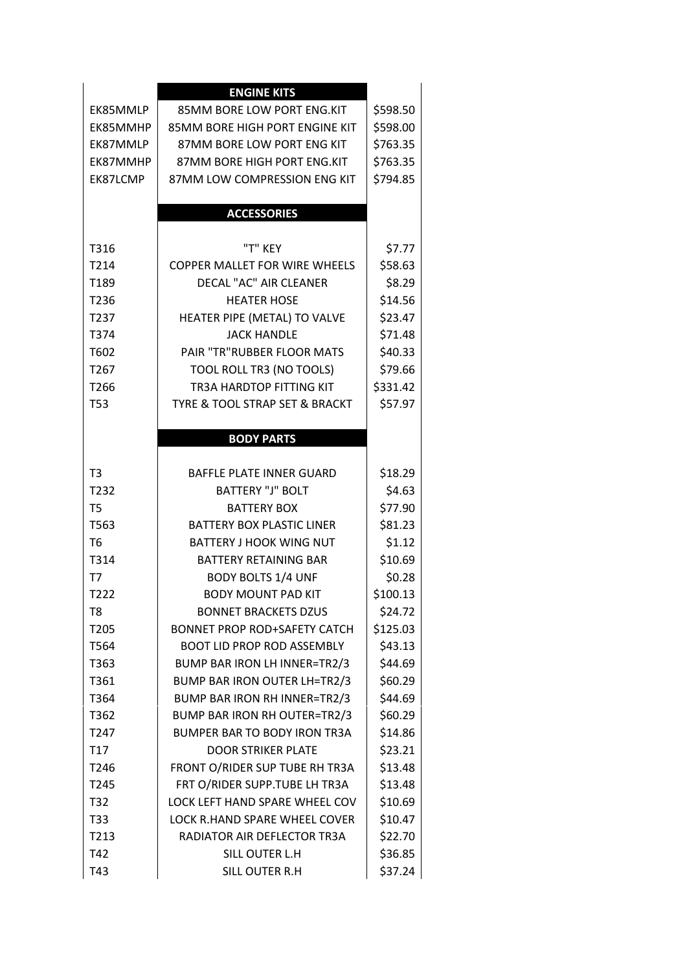|                  | <b>ENGINE KITS</b>                  |          |
|------------------|-------------------------------------|----------|
| EK85MMLP         | 85MM BORE LOW PORT ENG.KIT          | \$598.50 |
| EK85MMHP         | 85MM BORE HIGH PORT ENGINE KIT      | \$598.00 |
| EK87MMLP         | 87MM BORE LOW PORT ENG KIT          | \$763.35 |
| EK87MMHP         | 87MM BORE HIGH PORT ENG.KIT         | \$763.35 |
| EK87LCMP         | 87MM LOW COMPRESSION ENG KIT        | \$794.85 |
|                  |                                     |          |
|                  | <b>ACCESSORIES</b>                  |          |
|                  |                                     |          |
| T316             | "T" KEY                             | \$7.77   |
| T214             | COPPER MALLET FOR WIRE WHEELS       | \$58.63  |
| T189             | DECAL "AC" AIR CLEANER              | \$8.29   |
| T236             | <b>HEATER HOSE</b>                  | \$14.56  |
| T237             | HEATER PIPE (METAL) TO VALVE        | \$23.47  |
| T374             | <b>JACK HANDLE</b>                  | \$71.48  |
| T602             | PAIR "TR"RUBBER FLOOR MATS          | \$40.33  |
| T <sub>267</sub> | TOOL ROLL TR3 (NO TOOLS)            | \$79.66  |
| T266             | TR3A HARDTOP FITTING KIT            | \$331.42 |
| <b>T53</b>       | TYRE & TOOL STRAP SET & BRACKT      | \$57.97  |
|                  |                                     |          |
|                  | <b>BODY PARTS</b>                   |          |
|                  |                                     |          |
| T <sub>3</sub>   | <b>BAFFLE PLATE INNER GUARD</b>     | \$18.29  |
| T232             | <b>BATTERY "J" BOLT</b>             | \$4.63   |
| T <sub>5</sub>   | <b>BATTERY BOX</b>                  | \$77.90  |
| T563             | <b>BATTERY BOX PLASTIC LINER</b>    | \$81.23  |
| T <sub>6</sub>   | <b>BATTERY J HOOK WING NUT</b>      | \$1.12   |
| T314             | <b>BATTERY RETAINING BAR</b>        | \$10.69  |
| T7               | <b>BODY BOLTS 1/4 UNF</b>           | \$0.28   |
| T <sub>222</sub> | <b>BODY MOUNT PAD KIT</b>           | \$100.13 |
| T8               | <b>BONNET BRACKETS DZUS</b>         | \$24.72  |
| T205             | <b>BONNET PROP ROD+SAFETY CATCH</b> | \$125.03 |
| T564             | <b>BOOT LID PROP ROD ASSEMBLY</b>   | \$43.13  |
| T363             | BUMP BAR IRON LH INNER=TR2/3        | \$44.69  |
| T361             | <b>BUMP BAR IRON OUTER LH=TR2/3</b> | \$60.29  |
| T364             | BUMP BAR IRON RH INNER=TR2/3        | \$44.69  |
| T362             | BUMP BAR IRON RH OUTER=TR2/3        | \$60.29  |
| T <sub>247</sub> | <b>BUMPER BAR TO BODY IRON TR3A</b> | \$14.86  |
| T17              | <b>DOOR STRIKER PLATE</b>           | \$23.21  |
| T246             | FRONT O/RIDER SUP TUBE RH TR3A      | \$13.48  |
| T245             | FRT O/RIDER SUPP.TUBE LH TR3A       | \$13.48  |
| T32              | LOCK LEFT HAND SPARE WHEEL COV      | \$10.69  |
| T33              | LOCK R.HAND SPARE WHEEL COVER       | \$10.47  |
| T213             | RADIATOR AIR DEFLECTOR TR3A         | \$22.70  |
| T42              | SILL OUTER L.H                      | \$36.85  |
| T43              | SILL OUTER R.H                      | \$37.24  |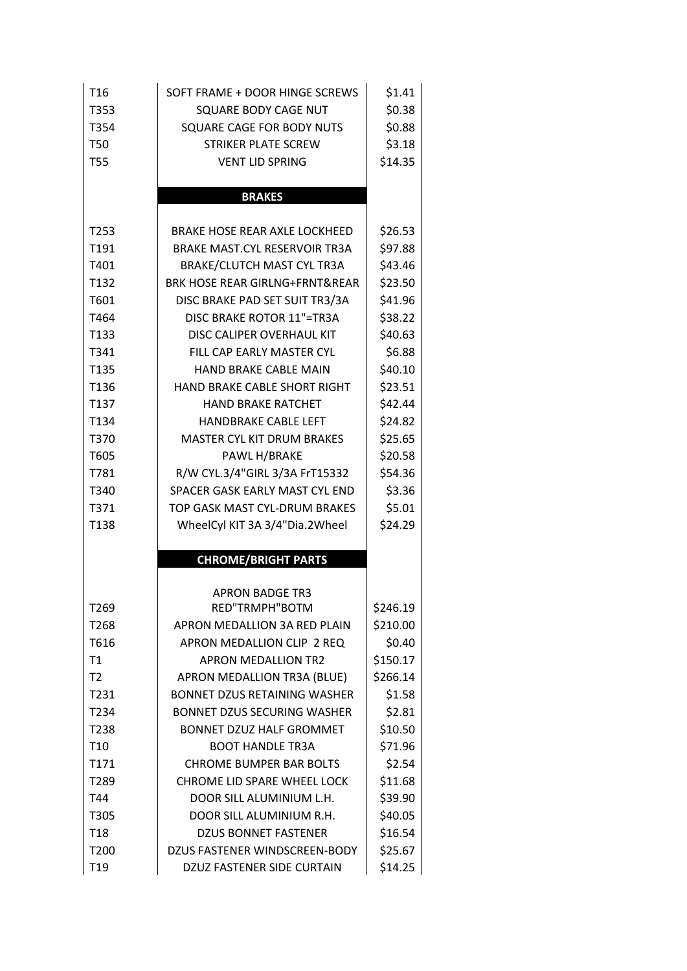| T <sub>16</sub>  | SOFT FRAME + DOOR HINGE SCREWS            | \$1.41   |
|------------------|-------------------------------------------|----------|
| T353             | SQUARE BODY CAGE NUT                      | \$0.38   |
| T354             | SQUARE CAGE FOR BODY NUTS                 | \$0.88   |
| <b>T50</b>       | <b>STRIKER PLATE SCREW</b>                | \$3.18   |
| <b>T55</b>       | <b>VENT LID SPRING</b>                    | \$14.35  |
|                  |                                           |          |
|                  | <b>BRAKES</b>                             |          |
| T253             | <b>BRAKE HOSE REAR AXLE LOCKHEED</b>      | \$26.53  |
| T191             | <b>BRAKE MAST.CYL RESERVOIR TR3A</b>      | \$97.88  |
| T401             | <b>BRAKE/CLUTCH MAST CYL TR3A</b>         | \$43.46  |
| T132             | <b>BRK HOSE REAR GIRLNG+FRNT&amp;REAR</b> | \$23.50  |
| T601             | DISC BRAKE PAD SET SUIT TR3/3A            | \$41.96  |
| T464             | DISC BRAKE ROTOR 11"=TR3A                 | \$38.22  |
| T <sub>133</sub> | DISC CALIPER OVERHAUL KIT                 | \$40.63  |
| T341             | FILL CAP FARLY MASTER CYL                 | \$6.88   |
| T135             | HAND BRAKE CABLE MAIN                     | \$40.10  |
| T136             | <b>HAND BRAKE CABLE SHORT RIGHT</b>       | \$23.51  |
| T <sub>137</sub> | <b>HAND BRAKE RATCHET</b>                 | \$42.44  |
| T134             | <b>HANDBRAKE CABLE LEFT</b>               | \$24.82  |
| T370             | <b>MASTER CYL KIT DRUM BRAKES</b>         | \$25.65  |
| T605             | PAWL H/BRAKE                              | \$20.58  |
| T781             | R/W CYL.3/4"GIRL 3/3A FrT15332            | \$54.36  |
| T340             | SPACER GASK EARLY MAST CYL END            | \$3.36   |
| T371             | TOP GASK MAST CYL-DRUM BRAKES             | \$5.01   |
| T138             | WheelCyl KIT 3A 3/4"Dia.2Wheel            | \$24.29  |
|                  | <b>CHROME/BRIGHT PARTS</b>                |          |
|                  |                                           |          |
|                  | <b>APRON BADGE TR3</b>                    |          |
| T269             | RED"TRMPH"BOTM                            | \$246.19 |
| T268             | APRON MEDALLION 3A RED PLAIN              | \$210.00 |
| T616             | APRON MEDALLION CLIP 2 REQ                | \$0.40   |
| T1               | <b>APRON MEDALLION TR2</b>                | \$150.17 |
| T2               | APRON MEDALLION TR3A (BLUE)               | \$266.14 |
| T231             | <b>BONNET DZUS RETAINING WASHER</b>       | \$1.58   |
| T234             | <b>BONNET DZUS SECURING WASHER</b>        | \$2.81   |
| T238             | <b>BONNET DZUZ HALF GROMMET</b>           | \$10.50  |
| T <sub>10</sub>  | <b>BOOT HANDLE TR3A</b>                   | \$71.96  |
| T171             | <b>CHROME BUMPER BAR BOLTS</b>            | \$2.54   |
| T289             | CHROME LID SPARE WHEEL LOCK               | \$11.68  |
| T44              | DOOR SILL ALUMINIUM L.H.                  | \$39.90  |
| T305             | DOOR SILL ALUMINIUM R.H.                  | \$40.05  |
| T <sub>18</sub>  | <b>DZUS BONNET FASTENER</b>               | \$16.54  |
| T200             | DZUS FASTENER WINDSCREEN-BODY             | \$25.67  |
| T <sub>19</sub>  | DZUZ FASTENER SIDE CURTAIN                | \$14.25  |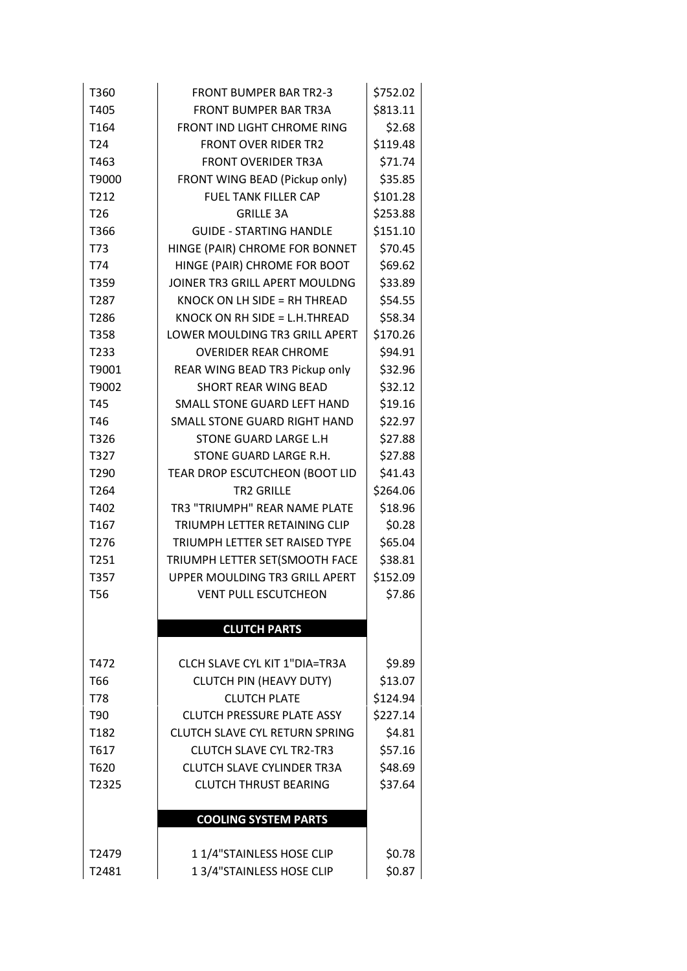| T360              | <b>FRONT BUMPER BAR TR2-3</b>         | \$752.02 |
|-------------------|---------------------------------------|----------|
| T405              | <b>FRONT BUMPER BAR TR3A</b>          | \$813.11 |
| T <sub>164</sub>  | FRONT IND LIGHT CHROME RING           | \$2.68   |
| T <sub>24</sub>   | <b>FRONT OVER RIDER TR2</b>           | \$119.48 |
| T463              | <b>FRONT OVERIDER TR3A</b>            | \$71.74  |
| T9000             | FRONT WING BEAD (Pickup only)         | \$35.85  |
| T212              | <b>FUEL TANK FILLER CAP</b>           | \$101.28 |
| T <sub>26</sub>   | <b>GRILLE 3A</b>                      | \$253.88 |
| T366              | <b>GUIDE - STARTING HANDLE</b>        | \$151.10 |
| T73               | HINGE (PAIR) CHROME FOR BONNET        | \$70.45  |
| T74               | HINGE (PAIR) CHROME FOR BOOT          | \$69.62  |
| T359              | JOINER TR3 GRILL APERT MOULDNG        | \$33.89  |
| T287              | KNOCK ON LH SIDE = RH THREAD          | \$54.55  |
| T286              | KNOCK ON RH SIDE = $L.H.THREAD$       | \$58.34  |
| T358              | LOWER MOULDING TR3 GRILL APERT        | \$170.26 |
| T233              | <b>OVERIDER REAR CHROME</b>           | \$94.91  |
| T9001             | REAR WING BEAD TR3 Pickup only        | \$32.96  |
| T9002             | SHORT REAR WING BEAD                  | \$32.12  |
| T45               | SMALL STONE GUARD LEFT HAND           | \$19.16  |
| T46               | SMALL STONE GUARD RIGHT HAND          | \$22.97  |
| T326              | STONE GUARD LARGE L.H                 | \$27.88  |
| T327              | STONE GUARD LARGE R.H.                | \$27.88  |
| T290              | TEAR DROP ESCUTCHEON (BOOT LID        | \$41.43  |
| T264              | <b>TR2 GRILLE</b>                     | \$264.06 |
| T402              | TR3 "TRIUMPH" REAR NAME PLATE         | \$18.96  |
| T <sub>167</sub>  | TRIUMPH LETTER RETAINING CLIP         | \$0.28   |
| T276              | TRIUMPH LETTER SET RAISED TYPE        | \$65.04  |
| T251              | TRIUMPH LETTER SET(SMOOTH FACE        | \$38.81  |
| T357              | UPPER MOULDING TR3 GRILL APERT        | \$152.09 |
| <b>T56</b>        | <b>VENT PULL ESCUTCHEON</b>           | \$7.86   |
|                   |                                       |          |
|                   | <b>CLUTCH PARTS</b>                   |          |
|                   |                                       |          |
| T472              | <b>CLCH SLAVE CYL KIT 1"DIA=TR3A</b>  | \$9.89   |
| T66               | <b>CLUTCH PIN (HEAVY DUTY)</b>        | \$13.07  |
| T78               | <b>CLUTCH PLATE</b>                   | \$124.94 |
| T90               | <b>CLUTCH PRESSURE PLATE ASSY</b>     | \$227.14 |
| T <sub>1</sub> 82 | <b>CLUTCH SLAVE CYL RETURN SPRING</b> | \$4.81   |
| T617              | <b>CLUTCH SLAVE CYL TR2-TR3</b>       | \$57.16  |
| T620              | <b>CLUTCH SLAVE CYLINDER TR3A</b>     | \$48.69  |
| T2325             | <b>CLUTCH THRUST BEARING</b>          | \$37.64  |
|                   |                                       |          |
|                   | <b>COOLING SYSTEM PARTS</b>           |          |
| T2479             | 11/4"STAINLESS HOSE CLIP              | \$0.78   |
| T2481             | 1 3/4"STAINLESS HOSE CLIP             | \$0.87   |
|                   |                                       |          |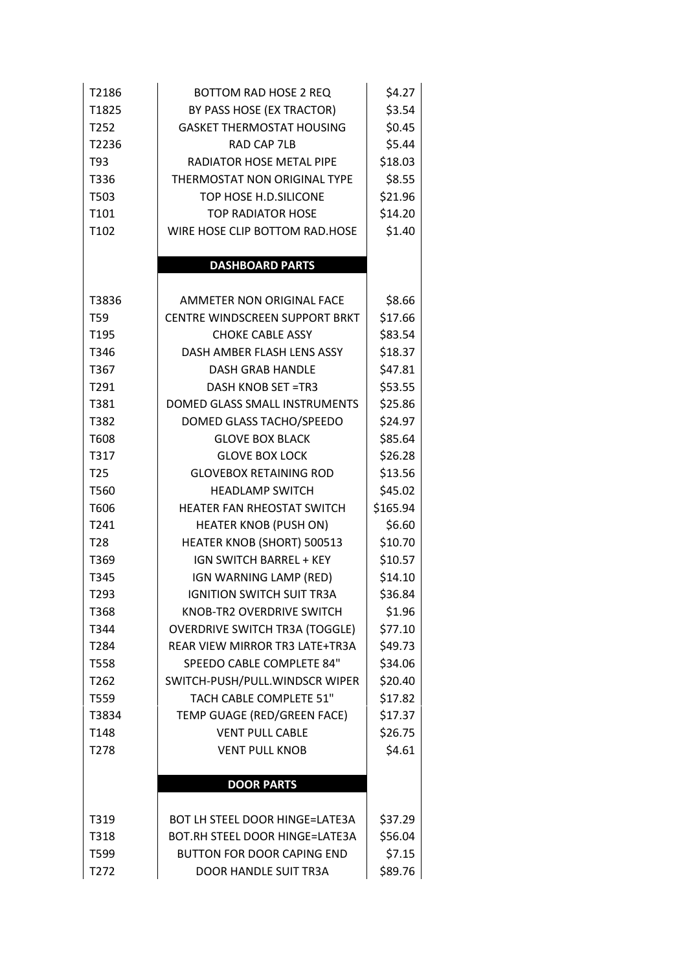| T2186<br>T1825<br>T252<br>T2236<br>T93<br>T336<br>T503 | <b>BOTTOM RAD HOSE 2 REQ</b><br>BY PASS HOSE (EX TRACTOR)<br><b>GASKET THERMOSTAT HOUSING</b><br><b>RAD CAP 7LB</b><br>RADIATOR HOSE METAL PIPE<br>THERMOSTAT NON ORIGINAL TYPE<br>TOP HOSE H.D.SILICONE | \$4.27<br>\$3.54<br>\$0.45<br>\$5.44<br>\$18.03<br>\$8.55<br>\$21.96 |
|--------------------------------------------------------|----------------------------------------------------------------------------------------------------------------------------------------------------------------------------------------------------------|----------------------------------------------------------------------|
| T101                                                   | <b>TOP RADIATOR HOSE</b>                                                                                                                                                                                 | \$14.20                                                              |
| T102                                                   | WIRE HOSE CLIP BOTTOM RAD.HOSE                                                                                                                                                                           | \$1.40                                                               |
|                                                        | <b>DASHBOARD PARTS</b>                                                                                                                                                                                   |                                                                      |
| T3836                                                  | AMMETER NON ORIGINAL FACE                                                                                                                                                                                | \$8.66                                                               |
| T59                                                    | CENTRE WINDSCREEN SUPPORT BRKT                                                                                                                                                                           | \$17.66                                                              |
| T <sub>195</sub>                                       | <b>CHOKE CABLE ASSY</b>                                                                                                                                                                                  | \$83.54                                                              |
| T346                                                   | DASH AMBER FLASH LENS ASSY                                                                                                                                                                               | \$18.37                                                              |
| T367                                                   | <b>DASH GRAB HANDLE</b>                                                                                                                                                                                  | \$47.81                                                              |
| T291                                                   | <b>DASH KNOB SET =TR3</b>                                                                                                                                                                                | \$53.55                                                              |
| T381                                                   | DOMED GLASS SMALL INSTRUMENTS                                                                                                                                                                            | \$25.86                                                              |
| T382                                                   | DOMED GLASS TACHO/SPEEDO                                                                                                                                                                                 | \$24.97                                                              |
| T608                                                   | <b>GLOVE BOX BLACK</b>                                                                                                                                                                                   | \$85.64                                                              |
| T317                                                   | <b>GLOVE BOX LOCK</b>                                                                                                                                                                                    | \$26.28                                                              |
| T <sub>25</sub>                                        | <b>GLOVEBOX RETAINING ROD</b>                                                                                                                                                                            | \$13.56                                                              |
| T560                                                   | <b>HEADLAMP SWITCH</b>                                                                                                                                                                                   | \$45.02                                                              |
| T606                                                   | HEATER FAN RHEOSTAT SWITCH                                                                                                                                                                               | \$165.94                                                             |
| T241                                                   | <b>HEATER KNOB (PUSH ON)</b>                                                                                                                                                                             | \$6.60                                                               |
| T <sub>28</sub>                                        | HEATER KNOB (SHORT) 500513                                                                                                                                                                               | \$10.70                                                              |
| T369                                                   | <b>IGN SWITCH BARREL + KEY</b>                                                                                                                                                                           | \$10.57                                                              |
| T345                                                   | IGN WARNING LAMP (RED)                                                                                                                                                                                   | \$14.10                                                              |
| T293                                                   | <b>IGNITION SWITCH SUIT TR3A</b>                                                                                                                                                                         | \$36.84                                                              |
| T368                                                   | KNOB-TR2 OVERDRIVE SWITCH                                                                                                                                                                                | \$1.96                                                               |
| T344                                                   | <b>OVERDRIVE SWITCH TR3A (TOGGLE)</b>                                                                                                                                                                    | \$77.10                                                              |
| T <sub>2</sub> 84                                      | REAR VIEW MIRROR TR3 LATE+TR3A                                                                                                                                                                           | \$49.73                                                              |
| T558                                                   | SPEEDO CABLE COMPLETE 84"                                                                                                                                                                                | \$34.06                                                              |
| T262                                                   | SWITCH-PUSH/PULL.WINDSCR WIPER                                                                                                                                                                           | \$20.40                                                              |
| T559                                                   | TACH CABLE COMPLETE 51"                                                                                                                                                                                  | \$17.82                                                              |
| T3834                                                  | TEMP GUAGE (RED/GREEN FACE)                                                                                                                                                                              | \$17.37                                                              |
| T148                                                   | <b>VENT PULL CABLE</b>                                                                                                                                                                                   | \$26.75                                                              |
| T278                                                   | <b>VENT PULL KNOB</b>                                                                                                                                                                                    | \$4.61                                                               |
|                                                        | <b>DOOR PARTS</b>                                                                                                                                                                                        |                                                                      |
|                                                        |                                                                                                                                                                                                          |                                                                      |
| T319                                                   | <b>BOT LH STEEL DOOR HINGE=LATE3A</b>                                                                                                                                                                    | \$37.29                                                              |
| T318                                                   | BOT.RH STEEL DOOR HINGE=LATE3A                                                                                                                                                                           | \$56.04                                                              |
| T599                                                   | <b>BUTTON FOR DOOR CAPING END</b>                                                                                                                                                                        | \$7.15                                                               |
| T272                                                   | <b>DOOR HANDLE SUIT TR3A</b>                                                                                                                                                                             | \$89.76                                                              |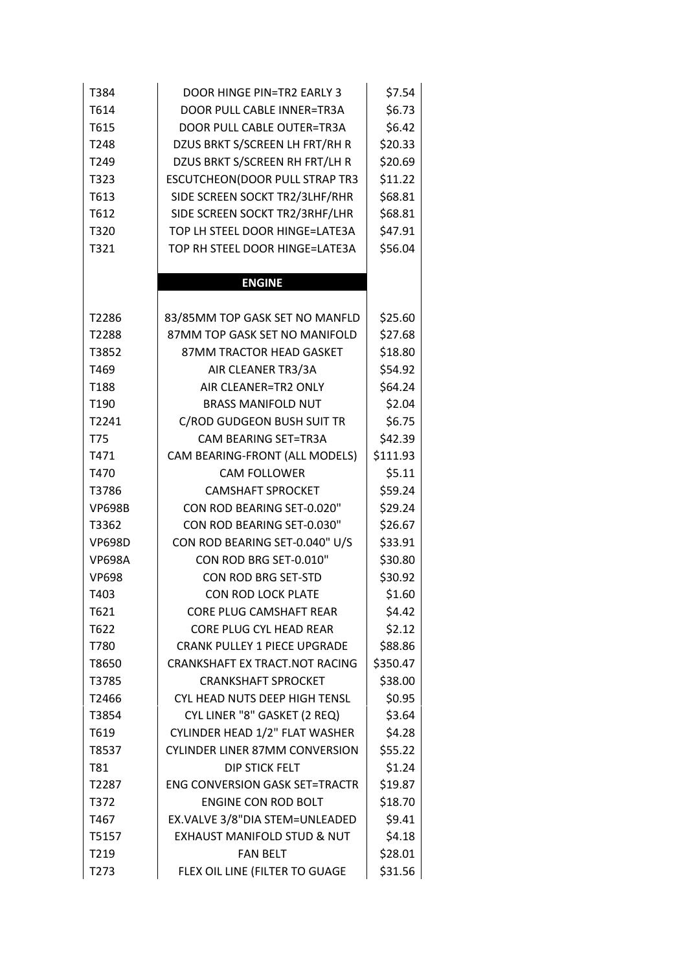| T384          | <b>DOOR HINGE PIN=TR2 EARLY 3</b>      | \$7.54   |
|---------------|----------------------------------------|----------|
| T614          | DOOR PULL CABLE INNER=TR3A             | \$6.73   |
| T615          | DOOR PULL CABLE OUTER=TR3A             | \$6.42   |
| T248          | DZUS BRKT S/SCREEN LH FRT/RH R         | \$20.33  |
| T249          | DZUS BRKT S/SCREEN RH FRT/LH R         | \$20.69  |
| T323          | ESCUTCHEON(DOOR PULL STRAP TR3         | \$11.22  |
| T613          | SIDE SCREEN SOCKT TR2/3LHF/RHR         | \$68.81  |
| T612          | SIDE SCREEN SOCKT TR2/3RHF/LHR         | \$68.81  |
| T320          | TOP LH STEEL DOOR HINGE=LATE3A         | \$47.91  |
| T321          | TOP RH STEEL DOOR HINGE=LATE3A         | \$56.04  |
|               |                                        |          |
|               | <b>ENGINE</b>                          |          |
|               |                                        |          |
| T2286         | 83/85MM TOP GASK SET NO MANFLD         | \$25.60  |
| T2288         | 87MM TOP GASK SET NO MANIFOLD          | \$27.68  |
| T3852         | 87MM TRACTOR HEAD GASKET               | \$18.80  |
| T469          | AIR CLEANER TR3/3A                     | \$54.92  |
| T188          | AIR CLEANER=TR2 ONLY                   | \$64.24  |
| T190          | <b>BRASS MANIFOLD NUT</b>              | \$2.04   |
| T2241         | C/ROD GUDGEON BUSH SUIT TR             | \$6.75   |
| T75           | CAM BEARING SET=TR3A                   | \$42.39  |
| T471          | CAM BEARING-FRONT (ALL MODELS)         | \$111.93 |
| T470          | <b>CAM FOLLOWER</b>                    | \$5.11   |
| T3786         | <b>CAMSHAFT SPROCKET</b>               | \$59.24  |
| <b>VP698B</b> | CON ROD BEARING SET-0.020"             | \$29.24  |
| T3362         | CON ROD BEARING SET-0.030"             | \$26.67  |
| <b>VP698D</b> | CON ROD BEARING SET-0.040" U/S         | \$33.91  |
| <b>VP698A</b> | CON ROD BRG SET-0.010"                 | \$30.80  |
| <b>VP698</b>  | CON ROD BRG SET-STD                    | \$30.92  |
| T403          | CON ROD LOCK PLATE                     | \$1.60   |
| T621          | <b>CORE PLUG CAMSHAFT REAR</b>         | \$4.42   |
| T622          | <b>CORE PLUG CYL HEAD REAR</b>         | \$2.12   |
| T780          | <b>CRANK PULLEY 1 PIECE UPGRADE</b>    | \$88.86  |
| T8650         | CRANKSHAFT EX TRACT.NOT RACING         | \$350.47 |
| T3785         | <b>CRANKSHAFT SPROCKET</b>             | \$38.00  |
| T2466         | <b>CYL HEAD NUTS DEEP HIGH TENSL</b>   | \$0.95   |
| T3854         | CYL LINER "8" GASKET (2 REQ)           | \$3.64   |
| T619          | CYLINDER HEAD 1/2" FLAT WASHER         | \$4.28   |
| T8537         | <b>CYLINDER LINER 87MM CONVERSION</b>  | \$55.22  |
| T81           | DIP STICK FELT                         | \$1.24   |
| T2287         | <b>ENG CONVERSION GASK SET=TRACTR</b>  | \$19.87  |
| T372          | ENGINE CON ROD BOLT                    | \$18.70  |
| T467          | EX.VALVE 3/8"DIA STEM=UNLEADED         | \$9.41   |
| T5157         | <b>EXHAUST MANIFOLD STUD &amp; NUT</b> | \$4.18   |
| T219          | <b>FAN BELT</b>                        | \$28.01  |
| T273          | FLEX OIL LINE (FILTER TO GUAGE         | \$31.56  |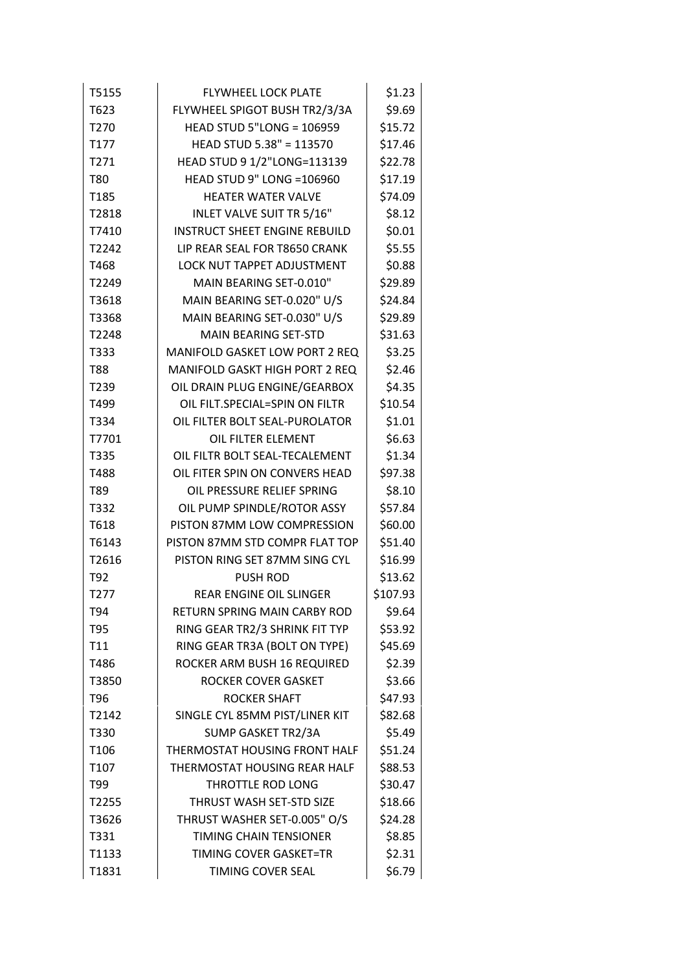| T5155            | <b>FLYWHEEL LOCK PLATE</b>           | \$1.23   |
|------------------|--------------------------------------|----------|
| T623             | FLYWHEEL SPIGOT BUSH TR2/3/3A        | \$9.69   |
| T <sub>270</sub> | <b>HEAD STUD 5"LONG = 106959</b>     | \$15.72  |
| T177             | HEAD STUD 5.38" = 113570             | \$17.46  |
| T271             | HEAD STUD 9 1/2"LONG=113139          | \$22.78  |
| T80              | <b>HEAD STUD 9" LONG =106960</b>     | \$17.19  |
| T185             | <b>HEATER WATER VALVE</b>            | \$74.09  |
| T2818            | INLET VALVE SUIT TR 5/16"            | \$8.12   |
| T7410            | <b>INSTRUCT SHEET ENGINE REBUILD</b> | \$0.01   |
| T2242            | LIP REAR SEAL FOR T8650 CRANK        | \$5.55   |
| T468             | LOCK NUT TAPPET ADJUSTMENT           | \$0.88   |
| T2249            | MAIN BEARING SET-0.010"              | \$29.89  |
| T3618            | MAIN BEARING SET-0.020" U/S          | \$24.84  |
| T3368            | MAIN BEARING SET-0.030" U/S          | \$29.89  |
| T2248            | <b>MAIN BEARING SET-STD</b>          | \$31.63  |
| T333             | MANIFOLD GASKET LOW PORT 2 REQ       | \$3.25   |
| <b>T88</b>       | MANIFOLD GASKT HIGH PORT 2 REQ       | \$2.46   |
| T239             | OIL DRAIN PLUG ENGINE/GEARBOX        | \$4.35   |
| T499             | OIL FILT.SPECIAL=SPIN ON FILTR       | \$10.54  |
| T334             | OIL FILTER BOLT SEAL-PUROLATOR       | \$1.01   |
| T7701            | OIL FILTER ELEMENT                   | \$6.63   |
| T335             | OIL FILTR BOLT SEAL-TECALEMENT       | \$1.34   |
| T488             | OIL FITER SPIN ON CONVERS HEAD       | \$97.38  |
| T89              | OIL PRESSURE RELIEF SPRING           | \$8.10   |
| T332             | OIL PUMP SPINDLE/ROTOR ASSY          | \$57.84  |
| T618             | PISTON 87MM LOW COMPRESSION          | \$60.00  |
| T6143            | PISTON 87MM STD COMPR FLAT TOP       | \$51.40  |
| T2616            | PISTON RING SET 87MM SING CYL        | \$16.99  |
| T92              | <b>PUSH ROD</b>                      | \$13.62  |
| T277             | <b>REAR ENGINE OIL SLINGER</b>       | \$107.93 |
| T94              | RETURN SPRING MAIN CARBY ROD         | \$9.64   |
| T95              | RING GEAR TR2/3 SHRINK FIT TYP       | \$53.92  |
| T11              | RING GEAR TR3A (BOLT ON TYPE)        | \$45.69  |
| T486             | ROCKER ARM BUSH 16 REQUIRED          | \$2.39   |
| T3850            | <b>ROCKER COVER GASKET</b>           | \$3.66   |
| T96              | <b>ROCKER SHAFT</b>                  | \$47.93  |
| T2142            | SINGLE CYL 85MM PIST/LINER KIT       | \$82.68  |
| T330             | SUMP GASKET TR2/3A                   | \$5.49   |
| T <sub>106</sub> | THERMOSTAT HOUSING FRONT HALF        | \$51.24  |
| T <sub>107</sub> | THERMOSTAT HOUSING REAR HALF         | \$88.53  |
| T99              | THROTTLE ROD LONG                    | \$30.47  |
| T2255            | THRUST WASH SET-STD SIZE             | \$18.66  |
| T3626            | THRUST WASHER SET-0.005" O/S         | \$24.28  |
| T331             | <b>TIMING CHAIN TENSIONER</b>        | \$8.85   |
| T1133            | TIMING COVER GASKET=TR               | \$2.31   |
| T1831            | TIMING COVER SEAL                    | \$6.79   |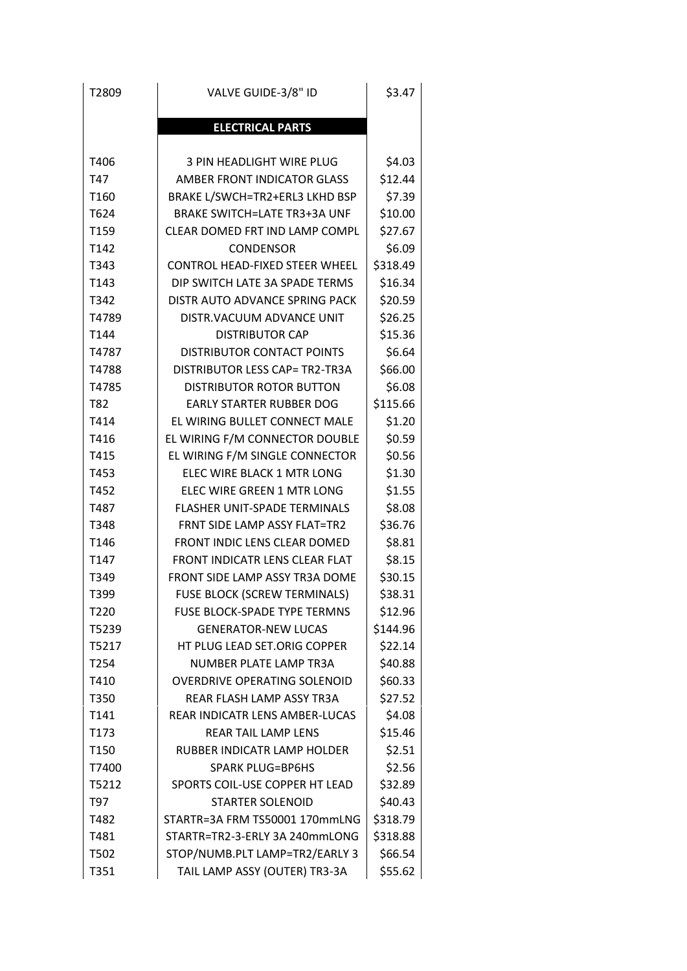| T2809            | VALVE GUIDE-3/8" ID                   | \$3.47   |
|------------------|---------------------------------------|----------|
|                  | <b>ELECTRICAL PARTS</b>               |          |
| T406             | 3 PIN HEADLIGHT WIRE PLUG             | \$4.03   |
| T47              | <b>AMBER FRONT INDICATOR GLASS</b>    | \$12.44  |
| T160             | BRAKE L/SWCH=TR2+ERL3 LKHD BSP        | \$7.39   |
| T624             | <b>BRAKE SWITCH=LATE TR3+3A UNF</b>   | \$10.00  |
| T159             | CLEAR DOMED FRT IND LAMP COMPL        | \$27.67  |
| T142             | <b>CONDENSOR</b>                      | \$6.09   |
| T343             | <b>CONTROL HEAD-FIXED STEER WHEEL</b> | \$318.49 |
| T <sub>143</sub> | DIP SWITCH LATE 3A SPADE TERMS        | \$16.34  |
| T342             | DISTR AUTO ADVANCE SPRING PACK        | \$20.59  |
| T4789            | DISTR. VACUUM ADVANCE UNIT            | \$26.25  |
| T144             | <b>DISTRIBUTOR CAP</b>                | \$15.36  |
| T4787            | DISTRIBUTOR CONTACT POINTS            | \$6.64   |
| T4788            | DISTRIBUTOR LESS CAP= TR2-TR3A        | \$66.00  |
| T4785            | <b>DISTRIBUTOR ROTOR BUTTON</b>       | \$6.08   |
| T82              | <b>EARLY STARTER RUBBER DOG</b>       | \$115.66 |
| T414             | EL WIRING BULLET CONNECT MALE         | \$1.20   |
| T416             | EL WIRING F/M CONNECTOR DOUBLE        | \$0.59   |
| T415             | EL WIRING F/M SINGLE CONNECTOR        | \$0.56   |
| T453             | ELEC WIRE BLACK 1 MTR LONG            | \$1.30   |
| T452             | ELEC WIRE GREEN 1 MTR LONG            | \$1.55   |
| T487             | <b>FLASHER UNIT-SPADE TERMINALS</b>   | \$8.08   |
| T348             | FRNT SIDE LAMP ASSY FLAT=TR2          | \$36.76  |
| T146             | FRONT INDIC LENS CLEAR DOMED          | \$8.81   |
| T <sub>147</sub> | FRONT INDICATR LENS CLEAR FLAT        | \$8.15   |
| T349             | FRONT SIDE LAMP ASSY TR3A DOME        | \$30.15  |
| T399             | FUSE BLOCK (SCREW TERMINALS)          | \$38.31  |
| T220             | <b>FUSE BLOCK-SPADE TYPE TERMNS</b>   | \$12.96  |
| T5239            | <b>GENERATOR-NEW LUCAS</b>            | \$144.96 |
| T5217            | HT PLUG LEAD SET.ORIG COPPER          | \$22.14  |
| T254             | NUMBER PLATE LAMP TR3A                | \$40.88  |
| T410             | <b>OVERDRIVE OPERATING SOLENOID</b>   | \$60.33  |
| T350             | <b>REAR FLASH LAMP ASSY TR3A</b>      | \$27.52  |
| T141             | REAR INDICATR LENS AMBER-LUCAS        | \$4.08   |
| T173             | <b>REAR TAIL LAMP LENS</b>            | \$15.46  |
| T150             | RUBBER INDICATR LAMP HOLDER           | \$2.51   |
| T7400            | <b>SPARK PLUG=BP6HS</b>               | \$2.56   |
| T5212            | SPORTS COIL-USE COPPER HT LEAD        | \$32.89  |
| T97              | <b>STARTER SOLENOID</b>               | \$40.43  |
| T482             | STARTR=3A FRM TS50001 170mmLNG        | \$318.79 |
| T481             | STARTR=TR2-3-ERLY 3A 240mmLONG        | \$318.88 |
| T502             | STOP/NUMB.PLT LAMP=TR2/EARLY 3        | \$66.54  |
| T351             | TAIL LAMP ASSY (OUTER) TR3-3A         | \$55.62  |
|                  |                                       |          |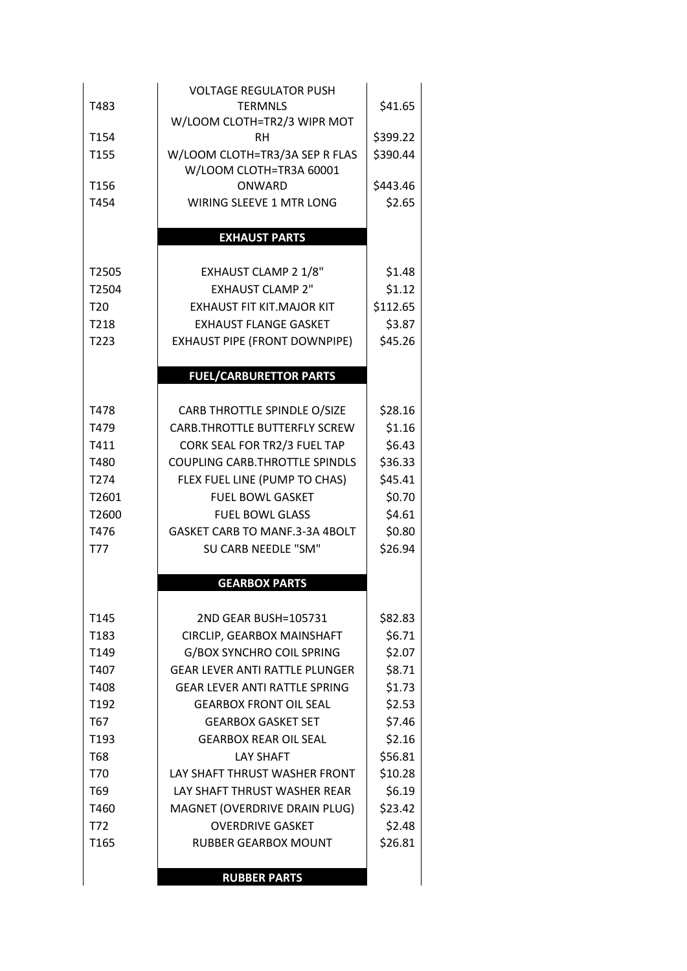| T483<br>T154<br>T155<br>T156<br>T454 | <b>VOLTAGE REGULATOR PUSH</b><br><b>TERMNLS</b><br>W/LOOM CLOTH=TR2/3 WIPR MOT<br><b>RH</b><br>W/LOOM CLOTH=TR3/3A SEP R FLAS<br>W/LOOM CLOTH=TR3A 60001<br>ONWARD<br><b>WIRING SLEEVE 1 MTR LONG</b> | \$41.65<br>\$399.22<br>\$390.44<br>\$443.46<br>\$2.65 |
|--------------------------------------|-------------------------------------------------------------------------------------------------------------------------------------------------------------------------------------------------------|-------------------------------------------------------|
|                                      |                                                                                                                                                                                                       |                                                       |
|                                      | <b>EXHAUST PARTS</b>                                                                                                                                                                                  |                                                       |
| T2505                                | <b>EXHAUST CLAMP 2 1/8"</b>                                                                                                                                                                           | \$1.48                                                |
| T2504                                | <b>EXHAUST CLAMP 2"</b>                                                                                                                                                                               | \$1.12                                                |
| T <sub>20</sub>                      | <b>EXHAUST FIT KIT.MAJOR KIT</b>                                                                                                                                                                      | \$112.65                                              |
| T218                                 | <b>EXHAUST FLANGE GASKET</b>                                                                                                                                                                          | \$3.87                                                |
| T223                                 | <b>EXHAUST PIPE (FRONT DOWNPIPE)</b>                                                                                                                                                                  | \$45.26                                               |
|                                      | <b>FUEL/CARBURETTOR PARTS</b>                                                                                                                                                                         |                                                       |
|                                      |                                                                                                                                                                                                       |                                                       |
| T478                                 | CARB THROTTLE SPINDLE O/SIZE                                                                                                                                                                          | \$28.16                                               |
| T479                                 | CARB.THROTTLE BUTTERFLY SCREW                                                                                                                                                                         | \$1.16                                                |
| T411                                 | CORK SEAL FOR TR2/3 FUEL TAP                                                                                                                                                                          | \$6.43                                                |
| T480                                 | <b>COUPLING CARB.THROTTLE SPINDLS</b>                                                                                                                                                                 | \$36.33                                               |
| T274                                 | FLEX FUEL LINE (PUMP TO CHAS)                                                                                                                                                                         | \$45.41                                               |
| T2601                                | <b>FUEL BOWL GASKET</b>                                                                                                                                                                               | \$0.70                                                |
| T2600                                | <b>FUEL BOWL GLASS</b>                                                                                                                                                                                | \$4.61                                                |
| T476                                 | GASKET CARB TO MANF.3-3A 4BOLT                                                                                                                                                                        | \$0.80                                                |
| <b>T77</b>                           | <b>SU CARB NEEDLE "SM"</b>                                                                                                                                                                            | \$26.94                                               |
|                                      | <b>GEARBOX PARTS</b>                                                                                                                                                                                  |                                                       |
|                                      |                                                                                                                                                                                                       |                                                       |
| T145                                 | 2ND GEAR BUSH=105731                                                                                                                                                                                  | \$82.83                                               |
| T <sub>1</sub> 83                    | CIRCLIP, GEARBOX MAINSHAFT                                                                                                                                                                            | \$6.71                                                |
| T149                                 | <b>G/BOX SYNCHRO COIL SPRING</b>                                                                                                                                                                      | \$2.07                                                |
| T407                                 | <b>GEAR LEVER ANTI RATTLE PLUNGER</b>                                                                                                                                                                 | \$8.71                                                |
| T408                                 | <b>GEAR LEVER ANTI RATTLE SPRING</b>                                                                                                                                                                  | \$1.73                                                |
| T <sub>192</sub>                     | <b>GEARBOX FRONT OIL SEAL</b>                                                                                                                                                                         | \$2.53                                                |
| T67                                  | <b>GEARBOX GASKET SET</b>                                                                                                                                                                             | \$7.46                                                |
| T <sub>193</sub>                     | <b>GEARBOX REAR OIL SEAL</b>                                                                                                                                                                          | \$2.16                                                |
| T68                                  | <b>LAY SHAFT</b>                                                                                                                                                                                      | \$56.81                                               |
| T70                                  | LAY SHAFT THRUST WASHER FRONT                                                                                                                                                                         | \$10.28                                               |
| T <sub>69</sub><br>T460              | LAY SHAFT THRUST WASHER REAR                                                                                                                                                                          | \$6.19<br>\$23.42                                     |
| T72                                  | MAGNET (OVERDRIVE DRAIN PLUG)<br><b>OVERDRIVE GASKET</b>                                                                                                                                              | \$2.48                                                |
| T <sub>165</sub>                     | <b>RUBBER GEARBOX MOUNT</b>                                                                                                                                                                           | \$26.81                                               |
|                                      |                                                                                                                                                                                                       |                                                       |
|                                      | <b>RUBBER PARTS</b>                                                                                                                                                                                   |                                                       |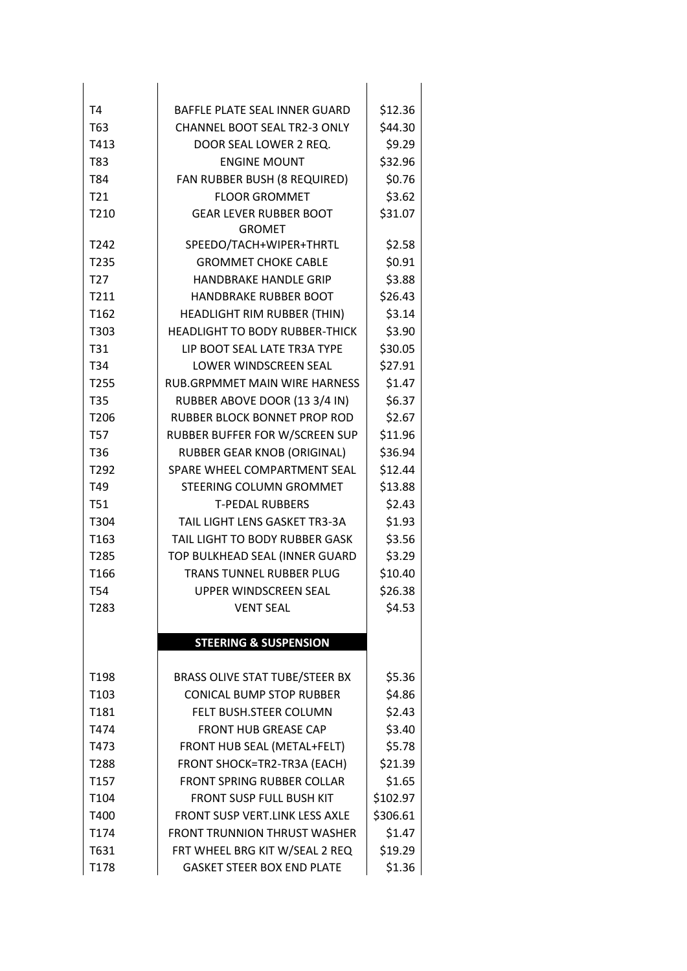| T <sub>4</sub>   | BAFFLE PLATE SEAL INNER GUARD                  | \$12.36  |
|------------------|------------------------------------------------|----------|
| T63              | CHANNEL BOOT SEAL TR2-3 ONLY                   | \$44.30  |
| T413             | DOOR SEAL LOWER 2 REQ.                         | \$9.29   |
| T83              | <b>ENGINE MOUNT</b>                            | \$32.96  |
| T84              | FAN RUBBER BUSH (8 REQUIRED)                   | \$0.76   |
| T <sub>21</sub>  | <b>FLOOR GROMMET</b>                           | \$3.62   |
| T210             | <b>GEAR LEVER RUBBER BOOT</b><br><b>GROMET</b> | \$31.07  |
| T242             | SPEEDO/TACH+WIPER+THRTL                        | \$2.58   |
| T235             | <b>GROMMET CHOKE CABLE</b>                     | \$0.91   |
| T <sub>27</sub>  | <b>HANDBRAKE HANDLE GRIP</b>                   | \$3.88   |
| T211             | <b>HANDBRAKE RUBBER BOOT</b>                   | \$26.43  |
| T <sub>162</sub> | HEADLIGHT RIM RUBBER (THIN)                    | \$3.14   |
| T303             | <b>HEADLIGHT TO BODY RUBBER-THICK</b>          | \$3.90   |
| T31              | LIP BOOT SEAL LATE TR3A TYPE                   | \$30.05  |
| T34              | LOWER WINDSCREEN SEAL                          | \$27.91  |
| T255             | RUB.GRPMMET MAIN WIRE HARNESS                  | \$1.47   |
| <b>T35</b>       | RUBBER ABOVE DOOR (13 3/4 IN)                  | \$6.37   |
| T <sub>206</sub> | RUBBER BLOCK BONNET PROP ROD                   | \$2.67   |
| <b>T57</b>       | RUBBER BUFFER FOR W/SCREEN SUP                 | \$11.96  |
| T36              | RUBBER GEAR KNOB (ORIGINAL)                    | \$36.94  |
| T292             | SPARE WHEEL COMPARTMENT SEAL                   | \$12.44  |
| T49              | STEERING COLUMN GROMMET                        | \$13.88  |
| <b>T51</b>       | <b>T-PEDAL RUBBERS</b>                         | \$2.43   |
| T304             | TAIL LIGHT LENS GASKET TR3-3A                  | \$1.93   |
| T <sub>163</sub> | TAIL LIGHT TO BODY RUBBER GASK                 | \$3.56   |
| T285             | TOP BULKHEAD SEAL (INNER GUARD                 | \$3.29   |
| T <sub>166</sub> | TRANS TUNNEL RUBBER PLUG                       | \$10.40  |
| <b>T54</b>       | <b>UPPER WINDSCREEN SEAL</b>                   | \$26.38  |
| T283             | <b>VENT SEAL</b>                               | \$4.53   |
|                  | <b>STEERING &amp; SUSPENSION</b>               |          |
|                  |                                                |          |
| T198             | BRASS OLIVE STAT TUBE/STEER BX                 | \$5.36   |
| T <sub>103</sub> | <b>CONICAL BUMP STOP RUBBER</b>                | \$4.86   |
| T181             | FELT BUSH.STEER COLUMN                         | \$2.43   |
| T474             | <b>FRONT HUB GREASE CAP</b>                    | \$3.40   |
| T473             | FRONT HUB SEAL (METAL+FELT)                    | \$5.78   |
| T288             | FRONT SHOCK=TR2-TR3A (EACH)                    | \$21.39  |
| T <sub>157</sub> | <b>FRONT SPRING RUBBER COLLAR</b>              | \$1.65   |
| T104             | <b>FRONT SUSP FULL BUSH KIT</b>                | \$102.97 |
| T400             | FRONT SUSP VERT.LINK LESS AXLE                 | \$306.61 |
| T174             | <b>FRONT TRUNNION THRUST WASHER</b>            | \$1.47   |
| T631             | FRT WHEEL BRG KIT W/SEAL 2 REQ                 | \$19.29  |
| T178             | <b>GASKET STEER BOX END PLATE</b>              | \$1.36   |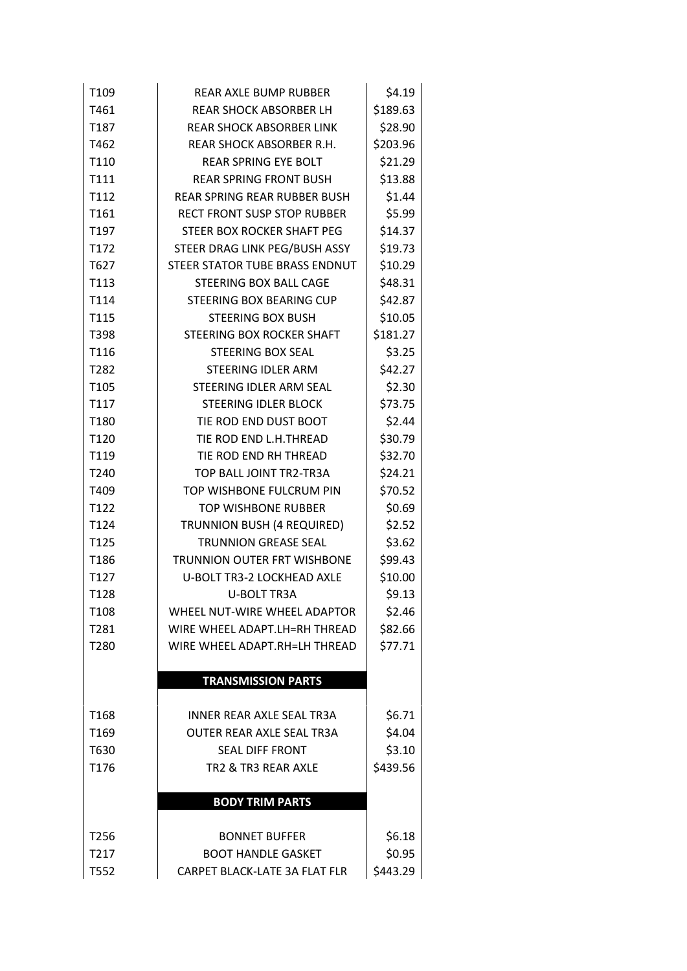| \$189.63<br>T461<br><b>REAR SHOCK ABSORBER LH</b><br>\$28.90<br>T187<br><b>REAR SHOCK ABSORBER LINK</b><br>\$203.96<br>T462<br>REAR SHOCK ABSORBER R.H.<br>T110<br>REAR SPRING EYE BOLT<br>\$21.29<br>T111<br>\$13.88<br><b>REAR SPRING FRONT BUSH</b><br>\$1.44<br>T112<br><b>REAR SPRING REAR RUBBER BUSH</b><br>T161<br>\$5.99<br><b>RECT FRONT SUSP STOP RUBBER</b><br>\$14.37<br>T <sub>197</sub><br>STEER BOX ROCKER SHAFT PEG<br>\$19.73<br>T172<br>STEER DRAG LINK PEG/BUSH ASSY<br>STEER STATOR TUBE BRASS ENDNUT<br>\$10.29<br>T627<br>T113<br>\$48.31<br>STEERING BOX BALL CAGE<br>\$42.87<br>T114<br>STEERING BOX BEARING CUP<br>T115<br>\$10.05<br><b>STEERING BOX BUSH</b><br>\$181.27<br>T398<br>STEERING BOX ROCKER SHAFT<br>T116<br>\$3.25<br><b>STEERING BOX SEAL</b><br>\$42.27<br>T282<br>STEERING IDLER ARM<br>T105<br>\$2.30<br>STEERING IDLER ARM SEAL<br>\$73.75<br>T117<br><b>STEERING IDLER BLOCK</b><br>\$2.44<br>T180<br>TIE ROD END DUST BOOT<br>\$30.79<br>T120<br>TIE ROD END L.H.THREAD<br>\$32.70<br>T119<br>TIE ROD END RH THREAD<br>T240<br>\$24.21<br>TOP BALL JOINT TR2-TR3A<br>T409<br>TOP WISHBONE FULCRUM PIN<br>\$70.52<br>\$0.69<br>T122<br><b>TOP WISHBONE RUBBER</b><br>T124<br>\$2.52<br>TRUNNION BUSH (4 REQUIRED)<br><b>TRUNNION GREASE SEAL</b><br>\$3.62<br>T125<br>T186<br><b>TRUNNION OUTER FRT WISHBONE</b><br>\$99.43<br>T127<br>\$10.00<br>U-BOLT TR3-2 LOCKHEAD AXLE<br>T128<br>\$9.13<br><b>U-BOLT TR3A</b><br>WHEEL NUT-WIRE WHEEL ADAPTOR<br>T <sub>108</sub><br>\$2.46<br>T281<br>WIRE WHEEL ADAPT.LH=RH THREAD<br>\$82.66<br>\$77.71<br>T280<br>WIRE WHEEL ADAPT RH=LH THREAD<br><b>TRANSMISSION PARTS</b><br>T <sub>168</sub><br><b>INNER REAR AXLE SEAL TR3A</b><br>\$6.71<br>\$4.04<br>T <sub>169</sub><br><b>OUTER REAR AXLE SEAL TR3A</b><br>\$3.10<br>T630<br><b>SEAL DIFF FRONT</b><br>T176<br>\$439.56<br>TR2 & TR3 REAR AXLE<br><b>BODY TRIM PARTS</b><br>T256<br><b>BONNET BUFFER</b><br>\$6.18<br>\$0.95<br>T217<br><b>BOOT HANDLE GASKET</b><br>\$443.29<br>T552<br>CARPET BLACK-LATE 3A FLAT FLR | T <sub>109</sub> | <b>REAR AXLE BUMP RUBBER</b> | \$4.19 |
|---------------------------------------------------------------------------------------------------------------------------------------------------------------------------------------------------------------------------------------------------------------------------------------------------------------------------------------------------------------------------------------------------------------------------------------------------------------------------------------------------------------------------------------------------------------------------------------------------------------------------------------------------------------------------------------------------------------------------------------------------------------------------------------------------------------------------------------------------------------------------------------------------------------------------------------------------------------------------------------------------------------------------------------------------------------------------------------------------------------------------------------------------------------------------------------------------------------------------------------------------------------------------------------------------------------------------------------------------------------------------------------------------------------------------------------------------------------------------------------------------------------------------------------------------------------------------------------------------------------------------------------------------------------------------------------------------------------------------------------------------------------------------------------------------------------------------------------------------------------------------------------------------------------------------------------------------------------------------------------------------------------------------------------------------------------------------|------------------|------------------------------|--------|
|                                                                                                                                                                                                                                                                                                                                                                                                                                                                                                                                                                                                                                                                                                                                                                                                                                                                                                                                                                                                                                                                                                                                                                                                                                                                                                                                                                                                                                                                                                                                                                                                                                                                                                                                                                                                                                                                                                                                                                                                                                                                           |                  |                              |        |
|                                                                                                                                                                                                                                                                                                                                                                                                                                                                                                                                                                                                                                                                                                                                                                                                                                                                                                                                                                                                                                                                                                                                                                                                                                                                                                                                                                                                                                                                                                                                                                                                                                                                                                                                                                                                                                                                                                                                                                                                                                                                           |                  |                              |        |
|                                                                                                                                                                                                                                                                                                                                                                                                                                                                                                                                                                                                                                                                                                                                                                                                                                                                                                                                                                                                                                                                                                                                                                                                                                                                                                                                                                                                                                                                                                                                                                                                                                                                                                                                                                                                                                                                                                                                                                                                                                                                           |                  |                              |        |
|                                                                                                                                                                                                                                                                                                                                                                                                                                                                                                                                                                                                                                                                                                                                                                                                                                                                                                                                                                                                                                                                                                                                                                                                                                                                                                                                                                                                                                                                                                                                                                                                                                                                                                                                                                                                                                                                                                                                                                                                                                                                           |                  |                              |        |
|                                                                                                                                                                                                                                                                                                                                                                                                                                                                                                                                                                                                                                                                                                                                                                                                                                                                                                                                                                                                                                                                                                                                                                                                                                                                                                                                                                                                                                                                                                                                                                                                                                                                                                                                                                                                                                                                                                                                                                                                                                                                           |                  |                              |        |
|                                                                                                                                                                                                                                                                                                                                                                                                                                                                                                                                                                                                                                                                                                                                                                                                                                                                                                                                                                                                                                                                                                                                                                                                                                                                                                                                                                                                                                                                                                                                                                                                                                                                                                                                                                                                                                                                                                                                                                                                                                                                           |                  |                              |        |
|                                                                                                                                                                                                                                                                                                                                                                                                                                                                                                                                                                                                                                                                                                                                                                                                                                                                                                                                                                                                                                                                                                                                                                                                                                                                                                                                                                                                                                                                                                                                                                                                                                                                                                                                                                                                                                                                                                                                                                                                                                                                           |                  |                              |        |
|                                                                                                                                                                                                                                                                                                                                                                                                                                                                                                                                                                                                                                                                                                                                                                                                                                                                                                                                                                                                                                                                                                                                                                                                                                                                                                                                                                                                                                                                                                                                                                                                                                                                                                                                                                                                                                                                                                                                                                                                                                                                           |                  |                              |        |
|                                                                                                                                                                                                                                                                                                                                                                                                                                                                                                                                                                                                                                                                                                                                                                                                                                                                                                                                                                                                                                                                                                                                                                                                                                                                                                                                                                                                                                                                                                                                                                                                                                                                                                                                                                                                                                                                                                                                                                                                                                                                           |                  |                              |        |
|                                                                                                                                                                                                                                                                                                                                                                                                                                                                                                                                                                                                                                                                                                                                                                                                                                                                                                                                                                                                                                                                                                                                                                                                                                                                                                                                                                                                                                                                                                                                                                                                                                                                                                                                                                                                                                                                                                                                                                                                                                                                           |                  |                              |        |
|                                                                                                                                                                                                                                                                                                                                                                                                                                                                                                                                                                                                                                                                                                                                                                                                                                                                                                                                                                                                                                                                                                                                                                                                                                                                                                                                                                                                                                                                                                                                                                                                                                                                                                                                                                                                                                                                                                                                                                                                                                                                           |                  |                              |        |
|                                                                                                                                                                                                                                                                                                                                                                                                                                                                                                                                                                                                                                                                                                                                                                                                                                                                                                                                                                                                                                                                                                                                                                                                                                                                                                                                                                                                                                                                                                                                                                                                                                                                                                                                                                                                                                                                                                                                                                                                                                                                           |                  |                              |        |
|                                                                                                                                                                                                                                                                                                                                                                                                                                                                                                                                                                                                                                                                                                                                                                                                                                                                                                                                                                                                                                                                                                                                                                                                                                                                                                                                                                                                                                                                                                                                                                                                                                                                                                                                                                                                                                                                                                                                                                                                                                                                           |                  |                              |        |
|                                                                                                                                                                                                                                                                                                                                                                                                                                                                                                                                                                                                                                                                                                                                                                                                                                                                                                                                                                                                                                                                                                                                                                                                                                                                                                                                                                                                                                                                                                                                                                                                                                                                                                                                                                                                                                                                                                                                                                                                                                                                           |                  |                              |        |
|                                                                                                                                                                                                                                                                                                                                                                                                                                                                                                                                                                                                                                                                                                                                                                                                                                                                                                                                                                                                                                                                                                                                                                                                                                                                                                                                                                                                                                                                                                                                                                                                                                                                                                                                                                                                                                                                                                                                                                                                                                                                           |                  |                              |        |
|                                                                                                                                                                                                                                                                                                                                                                                                                                                                                                                                                                                                                                                                                                                                                                                                                                                                                                                                                                                                                                                                                                                                                                                                                                                                                                                                                                                                                                                                                                                                                                                                                                                                                                                                                                                                                                                                                                                                                                                                                                                                           |                  |                              |        |
|                                                                                                                                                                                                                                                                                                                                                                                                                                                                                                                                                                                                                                                                                                                                                                                                                                                                                                                                                                                                                                                                                                                                                                                                                                                                                                                                                                                                                                                                                                                                                                                                                                                                                                                                                                                                                                                                                                                                                                                                                                                                           |                  |                              |        |
|                                                                                                                                                                                                                                                                                                                                                                                                                                                                                                                                                                                                                                                                                                                                                                                                                                                                                                                                                                                                                                                                                                                                                                                                                                                                                                                                                                                                                                                                                                                                                                                                                                                                                                                                                                                                                                                                                                                                                                                                                                                                           |                  |                              |        |
|                                                                                                                                                                                                                                                                                                                                                                                                                                                                                                                                                                                                                                                                                                                                                                                                                                                                                                                                                                                                                                                                                                                                                                                                                                                                                                                                                                                                                                                                                                                                                                                                                                                                                                                                                                                                                                                                                                                                                                                                                                                                           |                  |                              |        |
|                                                                                                                                                                                                                                                                                                                                                                                                                                                                                                                                                                                                                                                                                                                                                                                                                                                                                                                                                                                                                                                                                                                                                                                                                                                                                                                                                                                                                                                                                                                                                                                                                                                                                                                                                                                                                                                                                                                                                                                                                                                                           |                  |                              |        |
|                                                                                                                                                                                                                                                                                                                                                                                                                                                                                                                                                                                                                                                                                                                                                                                                                                                                                                                                                                                                                                                                                                                                                                                                                                                                                                                                                                                                                                                                                                                                                                                                                                                                                                                                                                                                                                                                                                                                                                                                                                                                           |                  |                              |        |
|                                                                                                                                                                                                                                                                                                                                                                                                                                                                                                                                                                                                                                                                                                                                                                                                                                                                                                                                                                                                                                                                                                                                                                                                                                                                                                                                                                                                                                                                                                                                                                                                                                                                                                                                                                                                                                                                                                                                                                                                                                                                           |                  |                              |        |
|                                                                                                                                                                                                                                                                                                                                                                                                                                                                                                                                                                                                                                                                                                                                                                                                                                                                                                                                                                                                                                                                                                                                                                                                                                                                                                                                                                                                                                                                                                                                                                                                                                                                                                                                                                                                                                                                                                                                                                                                                                                                           |                  |                              |        |
|                                                                                                                                                                                                                                                                                                                                                                                                                                                                                                                                                                                                                                                                                                                                                                                                                                                                                                                                                                                                                                                                                                                                                                                                                                                                                                                                                                                                                                                                                                                                                                                                                                                                                                                                                                                                                                                                                                                                                                                                                                                                           |                  |                              |        |
|                                                                                                                                                                                                                                                                                                                                                                                                                                                                                                                                                                                                                                                                                                                                                                                                                                                                                                                                                                                                                                                                                                                                                                                                                                                                                                                                                                                                                                                                                                                                                                                                                                                                                                                                                                                                                                                                                                                                                                                                                                                                           |                  |                              |        |
|                                                                                                                                                                                                                                                                                                                                                                                                                                                                                                                                                                                                                                                                                                                                                                                                                                                                                                                                                                                                                                                                                                                                                                                                                                                                                                                                                                                                                                                                                                                                                                                                                                                                                                                                                                                                                                                                                                                                                                                                                                                                           |                  |                              |        |
|                                                                                                                                                                                                                                                                                                                                                                                                                                                                                                                                                                                                                                                                                                                                                                                                                                                                                                                                                                                                                                                                                                                                                                                                                                                                                                                                                                                                                                                                                                                                                                                                                                                                                                                                                                                                                                                                                                                                                                                                                                                                           |                  |                              |        |
|                                                                                                                                                                                                                                                                                                                                                                                                                                                                                                                                                                                                                                                                                                                                                                                                                                                                                                                                                                                                                                                                                                                                                                                                                                                                                                                                                                                                                                                                                                                                                                                                                                                                                                                                                                                                                                                                                                                                                                                                                                                                           |                  |                              |        |
|                                                                                                                                                                                                                                                                                                                                                                                                                                                                                                                                                                                                                                                                                                                                                                                                                                                                                                                                                                                                                                                                                                                                                                                                                                                                                                                                                                                                                                                                                                                                                                                                                                                                                                                                                                                                                                                                                                                                                                                                                                                                           |                  |                              |        |
|                                                                                                                                                                                                                                                                                                                                                                                                                                                                                                                                                                                                                                                                                                                                                                                                                                                                                                                                                                                                                                                                                                                                                                                                                                                                                                                                                                                                                                                                                                                                                                                                                                                                                                                                                                                                                                                                                                                                                                                                                                                                           |                  |                              |        |
|                                                                                                                                                                                                                                                                                                                                                                                                                                                                                                                                                                                                                                                                                                                                                                                                                                                                                                                                                                                                                                                                                                                                                                                                                                                                                                                                                                                                                                                                                                                                                                                                                                                                                                                                                                                                                                                                                                                                                                                                                                                                           |                  |                              |        |
|                                                                                                                                                                                                                                                                                                                                                                                                                                                                                                                                                                                                                                                                                                                                                                                                                                                                                                                                                                                                                                                                                                                                                                                                                                                                                                                                                                                                                                                                                                                                                                                                                                                                                                                                                                                                                                                                                                                                                                                                                                                                           |                  |                              |        |
|                                                                                                                                                                                                                                                                                                                                                                                                                                                                                                                                                                                                                                                                                                                                                                                                                                                                                                                                                                                                                                                                                                                                                                                                                                                                                                                                                                                                                                                                                                                                                                                                                                                                                                                                                                                                                                                                                                                                                                                                                                                                           |                  |                              |        |
|                                                                                                                                                                                                                                                                                                                                                                                                                                                                                                                                                                                                                                                                                                                                                                                                                                                                                                                                                                                                                                                                                                                                                                                                                                                                                                                                                                                                                                                                                                                                                                                                                                                                                                                                                                                                                                                                                                                                                                                                                                                                           |                  |                              |        |
|                                                                                                                                                                                                                                                                                                                                                                                                                                                                                                                                                                                                                                                                                                                                                                                                                                                                                                                                                                                                                                                                                                                                                                                                                                                                                                                                                                                                                                                                                                                                                                                                                                                                                                                                                                                                                                                                                                                                                                                                                                                                           |                  |                              |        |
|                                                                                                                                                                                                                                                                                                                                                                                                                                                                                                                                                                                                                                                                                                                                                                                                                                                                                                                                                                                                                                                                                                                                                                                                                                                                                                                                                                                                                                                                                                                                                                                                                                                                                                                                                                                                                                                                                                                                                                                                                                                                           |                  |                              |        |
|                                                                                                                                                                                                                                                                                                                                                                                                                                                                                                                                                                                                                                                                                                                                                                                                                                                                                                                                                                                                                                                                                                                                                                                                                                                                                                                                                                                                                                                                                                                                                                                                                                                                                                                                                                                                                                                                                                                                                                                                                                                                           |                  |                              |        |
|                                                                                                                                                                                                                                                                                                                                                                                                                                                                                                                                                                                                                                                                                                                                                                                                                                                                                                                                                                                                                                                                                                                                                                                                                                                                                                                                                                                                                                                                                                                                                                                                                                                                                                                                                                                                                                                                                                                                                                                                                                                                           |                  |                              |        |
|                                                                                                                                                                                                                                                                                                                                                                                                                                                                                                                                                                                                                                                                                                                                                                                                                                                                                                                                                                                                                                                                                                                                                                                                                                                                                                                                                                                                                                                                                                                                                                                                                                                                                                                                                                                                                                                                                                                                                                                                                                                                           |                  |                              |        |
|                                                                                                                                                                                                                                                                                                                                                                                                                                                                                                                                                                                                                                                                                                                                                                                                                                                                                                                                                                                                                                                                                                                                                                                                                                                                                                                                                                                                                                                                                                                                                                                                                                                                                                                                                                                                                                                                                                                                                                                                                                                                           |                  |                              |        |
|                                                                                                                                                                                                                                                                                                                                                                                                                                                                                                                                                                                                                                                                                                                                                                                                                                                                                                                                                                                                                                                                                                                                                                                                                                                                                                                                                                                                                                                                                                                                                                                                                                                                                                                                                                                                                                                                                                                                                                                                                                                                           |                  |                              |        |
|                                                                                                                                                                                                                                                                                                                                                                                                                                                                                                                                                                                                                                                                                                                                                                                                                                                                                                                                                                                                                                                                                                                                                                                                                                                                                                                                                                                                                                                                                                                                                                                                                                                                                                                                                                                                                                                                                                                                                                                                                                                                           |                  |                              |        |
|                                                                                                                                                                                                                                                                                                                                                                                                                                                                                                                                                                                                                                                                                                                                                                                                                                                                                                                                                                                                                                                                                                                                                                                                                                                                                                                                                                                                                                                                                                                                                                                                                                                                                                                                                                                                                                                                                                                                                                                                                                                                           |                  |                              |        |